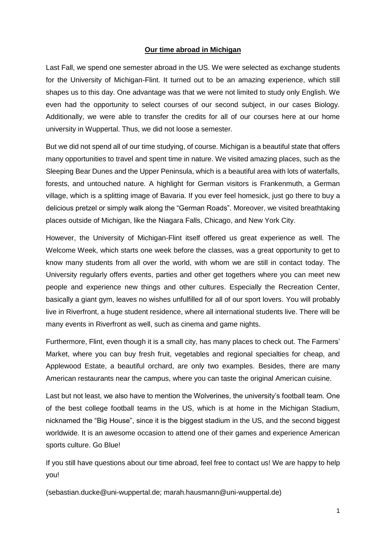## **Our time abroad in Michigan**

Last Fall, we spend one semester abroad in the US. We were selected as exchange students for the University of Michigan-Flint. It turned out to be an amazing experience, which still shapes us to this day. One advantage was that we were not limited to study only English. We even had the opportunity to select courses of our second subject, in our cases Biology. Additionally, we were able to transfer the credits for all of our courses here at our home university in Wuppertal. Thus, we did not loose a semester.

But we did not spend all of our time studying, of course. Michigan is a beautiful state that offers many opportunities to travel and spent time in nature. We visited amazing places, such as the Sleeping Bear Dunes and the Upper Peninsula, which is a beautiful area with lots of waterfalls, forests, and untouched nature. A highlight for German visitors is Frankenmuth, a German village, which is a splitting image of Bavaria. If you ever feel homesick, just go there to buy a delicious pretzel or simply walk along the "German Roads". Moreover, we visited breathtaking places outside of Michigan, like the Niagara Falls, Chicago, and New York City.

However, the University of Michigan-Flint itself offered us great experience as well. The Welcome Week, which starts one week before the classes, was a great opportunity to get to know many students from all over the world, with whom we are still in contact today. The University regularly offers events, parties and other get togethers where you can meet new people and experience new things and other cultures. Especially the Recreation Center, basically a giant gym, leaves no wishes unfulfilled for all of our sport lovers. You will probably live in Riverfront, a huge student residence, where all international students live. There will be many events in Riverfront as well, such as cinema and game nights.

Furthermore, Flint, even though it is a small city, has many places to check out. The Farmers' Market, where you can buy fresh fruit, vegetables and regional specialties for cheap, and Applewood Estate, a beautiful orchard, are only two examples. Besides, there are many American restaurants near the campus, where you can taste the original American cuisine.

Last but not least, we also have to mention the Wolverines, the university's football team. One of the best college football teams in the US, which is at home in the Michigan Stadium, nicknamed the "Big House", since it is the biggest stadium in the US, and the second biggest worldwide. It is an awesome occasion to attend one of their games and experience American sports culture. Go Blue!

If you still have questions about our time abroad, feel free to contact us! We are happy to help you!

(sebastian.ducke@uni-wuppertal.de; marah.hausmann@uni-wuppertal.de)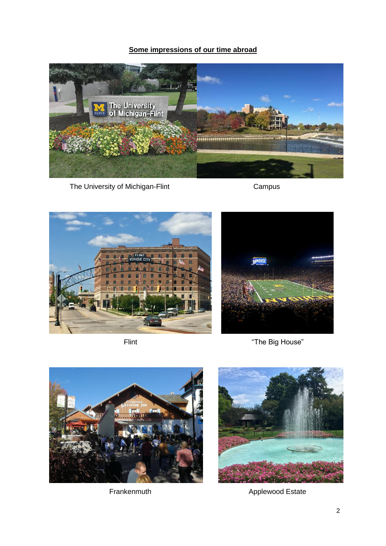## **Some impressions of our time abroad**



The University of Michigan-Flint Campus Campus





Flint The Big House"





Frankenmuth **Applewood Estate**